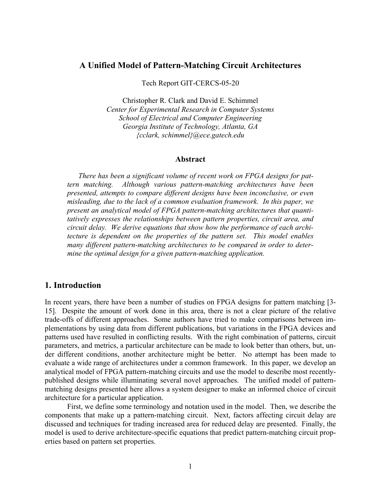### **A Unified Model of Pattern-Matching Circuit Architectures**

Tech Report GIT-CERCS-05-20

Christopher R. Clark and David E. Schimmel *Center for Experimental Research in Computer Systems School of Electrical and Computer Engineering Georgia Institute of Technology, Atlanta, GA {cclark, schimmel}@ece.gatech.edu* 

#### **Abstract**

*There has been a significant volume of recent work on FPGA designs for pattern matching. Although various pattern-matching architectures have been presented, attempts to compare different designs have been inconclusive, or even misleading, due to the lack of a common evaluation framework. In this paper, we present an analytical model of FPGA pattern-matching architectures that quantitatively expresses the relationships between pattern properties, circuit area, and circuit delay. We derive equations that show how the performance of each architecture is dependent on the properties of the pattern set. This model enables many different pattern-matching architectures to be compared in order to determine the optimal design for a given pattern-matching application.* 

### **1. Introduction**

In recent years, there have been a number of studies on FPGA designs for pattern matching [3- 15]. Despite the amount of work done in this area, there is not a clear picture of the relative trade-offs of different approaches. Some authors have tried to make comparisons between implementations by using data from different publications, but variations in the FPGA devices and patterns used have resulted in conflicting results. With the right combination of patterns, circuit parameters, and metrics, a particular architecture can be made to look better than others, but, under different conditions, another architecture might be better. No attempt has been made to evaluate a wide range of architectures under a common framework. In this paper, we develop an analytical model of FPGA pattern-matching circuits and use the model to describe most recentlypublished designs while illuminating several novel approaches. The unified model of patternmatching designs presented here allows a system designer to make an informed choice of circuit architecture for a particular application.

First, we define some terminology and notation used in the model. Then, we describe the components that make up a pattern-matching circuit. Next, factors affecting circuit delay are discussed and techniques for trading increased area for reduced delay are presented. Finally, the model is used to derive architecture-specific equations that predict pattern-matching circuit properties based on pattern set properties.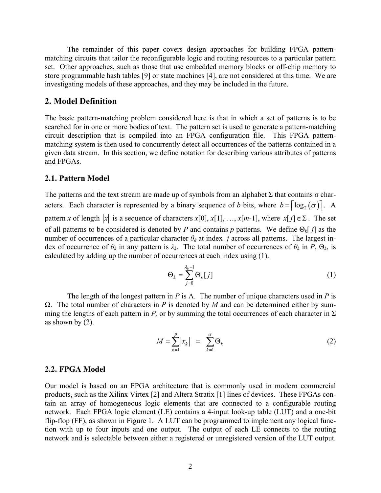The remainder of this paper covers design approaches for building FPGA patternmatching circuits that tailor the reconfigurable logic and routing resources to a particular pattern set. Other approaches, such as those that use embedded memory blocks or off-chip memory to store programmable hash tables [9] or state machines [4], are not considered at this time. We are investigating models of these approaches, and they may be included in the future.

### **2. Model Definition**

The basic pattern-matching problem considered here is that in which a set of patterns is to be searched for in one or more bodies of text. The pattern set is used to generate a pattern-matching circuit description that is compiled into an FPGA configuration file. This FPGA patternmatching system is then used to concurrently detect all occurrences of the patterns contained in a given data stream. In this section, we define notation for describing various attributes of patterns and FPGAs.

#### **2.1. Pattern Model**

The patterns and the text stream are made up of symbols from an alphabet  $\Sigma$  that contains  $\sigma$  characters. Each character is represented by a binary sequence of *b* bits, where  $b = \lceil \log_2(\sigma) \rceil$ . A pattern *x* of length  $|x|$  is a sequence of characters *x*[0], *x*[1], …, *x*[*m*-1], where *x*[*j*]  $\in \Sigma$ . The set of all patterns to be considered is denoted by *P* and contains *p* patterns. We define Θ*k*[ *j*] as the number of occurrences of a particular character  $\theta_k$  at index *j* across all patterns. The largest index of occurrence of  $\theta_k$  in any pattern is  $\lambda_k$ . The total number of occurrences of  $\theta_k$  in P,  $\Theta_k$ , is calculated by adding up the number of occurrences at each index using [\(1\).](#page-1-0)

<span id="page-1-0"></span>
$$
\Theta_k = \sum_{j=0}^{\lambda_k - 1} \Theta_k[j] \tag{1}
$$

The length of the longest pattern in *P* is  $\Lambda$ . The number of unique characters used in *P* is Ω. The total number of characters in *P* is denoted by *M* and can be determined either by summing the lengths of each pattern in *P*, or by summing the total occurrences of each character in  $\Sigma$ as shown by [\(2\).](#page-1-1)

<span id="page-1-1"></span>
$$
M = \sum_{k=1}^{p} |x_k| = \sum_{k=1}^{q} \Theta_k
$$
 (2)

### **2.2. FPGA Model**

Our model is based on an FPGA architecture that is commonly used in modern commercial products, such as the Xilinx Virtex [2] and Altera Stratix [1] lines of devices. These FPGAs contain an array of homogeneous logic elements that are connected to a configurable routing network. Each FPGA logic element (LE) contains a 4-input look-up table (LUT) and a one-bit flip-flop (FF), as shown in [Figure 1.](#page-2-0) A LUT can be programmed to implement any logical function with up to four inputs and one output. The output of each LE connects to the routing network and is selectable between either a registered or unregistered version of the LUT output.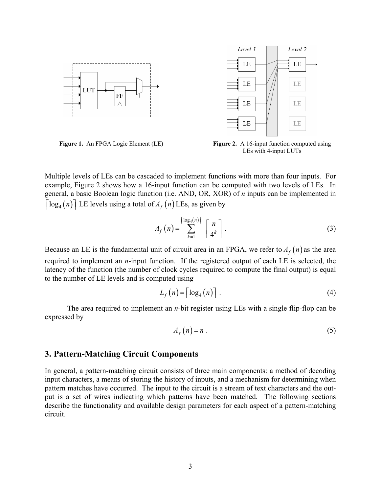



<span id="page-2-0"></span>**Figure 1.** An FPGA Logic Element (LE) **Figure 2.** A 16-input function computed using LEs with 4-input LUTs

Multiple levels of LEs can be cascaded to implement functions with more than four inputs. For example, [Figure 2](#page-2-1) shows how a 16-input function can be computed with two levels of LEs. In general, a basic Boolean logic function (i.e. AND, OR, XOR) of *n* inputs can be implemented in  $\lceil log_4(n) \rceil$  LE levels using a total of  $A_f(n)$  LEs, as given by

<span id="page-2-1"></span>
$$
A_f\left(n\right) = \sum_{k=1}^{\lfloor \log_4(n) \rfloor} \left\lceil \frac{n}{4^k} \right\rceil. \tag{3}
$$

Because an LE is the fundamental unit of circuit area in an FPGA, we refer to  $A_f(n)$  as the area required to implement an *n*-input function. If the registered output of each LE is selected, the latency of the function (the number of clock cycles required to compute the final output) is equal to the number of LE levels and is computed using

$$
L_f(n) = \lceil \log_4(n) \rceil. \tag{4}
$$

The area required to implement an *n*-bit register using LEs with a single flip-flop can be expressed by

$$
A_r(n) = n \tag{5}
$$

## **3. Pattern-Matching Circuit Components**

In general, a pattern-matching circuit consists of three main components: a method of decoding input characters, a means of storing the history of inputs, and a mechanism for determining when pattern matches have occurred. The input to the circuit is a stream of text characters and the output is a set of wires indicating which patterns have been matched. The following sections describe the functionality and available design parameters for each aspect of a pattern-matching circuit.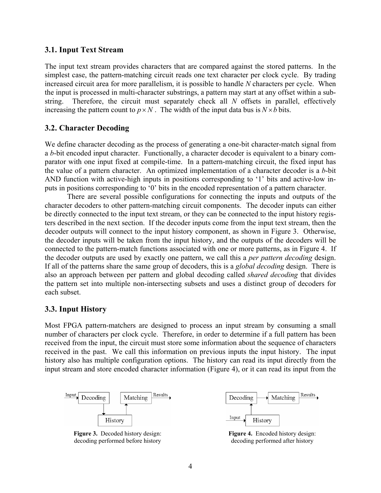### **3.1. Input Text Stream**

The input text stream provides characters that are compared against the stored patterns. In the simplest case, the pattern-matching circuit reads one text character per clock cycle. By trading increased circuit area for more parallelism, it is possible to handle *N* characters per cycle. When the input is processed in multi-character substrings, a pattern may start at any offset within a substring. Therefore, the circuit must separately check all *N* offsets in parallel, effectively increasing the pattern count to  $p \times N$ . The width of the input data bus is  $N \times b$  bits.

## **3.2. Character Decoding**

We define character decoding as the process of generating a one-bit character-match signal from a *b*-bit encoded input character. Functionally, a character decoder is equivalent to a binary comparator with one input fixed at compile-time. In a pattern-matching circuit, the fixed input has the value of a pattern character. An optimized implementation of a character decoder is a *b*-bit AND function with active-high inputs in positions corresponding to '1' bits and active-low inputs in positions corresponding to '0' bits in the encoded representation of a pattern character.

There are several possible configurations for connecting the inputs and outputs of the character decoders to other pattern-matching circuit components. The decoder inputs can either be directly connected to the input text stream, or they can be connected to the input history registers described in the next section. If the decoder inputs come from the input text stream, then the decoder outputs will connect to the input history component, as shown in [Figure 3.](#page-3-0) Otherwise, the decoder inputs will be taken from the input history, and the outputs of the decoders will be connected to the pattern-match functions associated with one or more patterns, as in [Figure 4.](#page-3-1) If the decoder outputs are used by exactly one pattern, we call this a *per pattern decoding* design. If all of the patterns share the same group of decoders, this is a *global decoding* design. There is also an approach between per pattern and global decoding called *shared decoding* that divides the pattern set into multiple non-intersecting subsets and uses a distinct group of decoders for each subset.

## **3.3. Input History**

Most FPGA pattern-matchers are designed to process an input stream by consuming a small number of characters per clock cycle. Therefore, in order to determine if a full pattern has been received from the input, the circuit must store some information about the sequence of characters received in the past. We call this information on previous inputs the input history. The input history also has multiple configuration options. The history can read its input directly from the input stream and store encoded character information ([Figure 4\)](#page-3-1), or it can read its input from the



<span id="page-3-0"></span>**Figure 3.** Decoded history design: decoding performed before history

<span id="page-3-1"></span>Figure 4. Encoded history design: decoding performed after history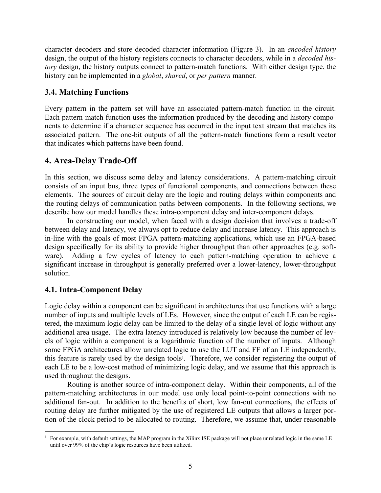character decoders and store decoded character information [\(Figure 3\)](#page-3-0). In an *encoded history* design, the output of the history registers connects to character decoders, while in a *decoded history* design, the history outputs connect to pattern-match functions. With either design type, the history can be implemented in a *global*, *shared*, or *per pattern* manner.

## **3.4. Matching Functions**

Every pattern in the pattern set will have an associated pattern-match function in the circuit. Each pattern-match function uses the information produced by the decoding and history components to determine if a character sequence has occurred in the input text stream that matches its associated pattern. The one-bit outputs of all the pattern-match functions form a result vector that indicates which patterns have been found.

# **4. Area-Delay Trade-Off**

In this section, we discuss some delay and latency considerations. A pattern-matching circuit consists of an input bus, three types of functional components, and connections between these elements. The sources of circuit delay are the logic and routing delays within components and the routing delays of communication paths between components. In the following sections, we describe how our model handles these intra-component delay and inter-component delays.

In constructing our model, when faced with a design decision that involves a trade-off between delay and latency, we always opt to reduce delay and increase latency. This approach is in-line with the goals of most FPGA pattern-matching applications, which use an FPGA-based design specifically for its ability to provide higher throughput than other approaches (e.g. software). Adding a few cycles of latency to each pattern-matching operation to achieve a significant increase in throughput is generally preferred over a lower-latency, lower-throughput solution.

## **4.1. Intra-Component Delay**

Logic delay within a component can be significant in architectures that use functions with a large number of inputs and multiple levels of LEs. However, since the output of each LE can be registered, the maximum logic delay can be limited to the delay of a single level of logic without any additional area usage. The extra latency introduced is relatively low because the number of levels of logic within a component is a logarithmic function of the number of inputs. Although some FPGA architectures allow unrelated logic to use the LUT and FF of an LE independently, this feature is rarely used by the design tools<sup>1</sup>. Therefore, we consider registering the output of each LE to be a low-cost method of minimizing logic delay, and we assume that this approach is used throughout the designs.

Routing is another source of intra-component delay. Within their components, all of the pattern-matching architectures in our model use only local point-to-point connections with no additional fan-out. In addition to the benefits of short, low fan-out connections, the effects of routing delay are further mitigated by the use of registered LE outputs that allows a larger portion of the clock period to be allocated to routing. Therefore, we assume that, under reasonable

<span id="page-4-0"></span><sup>&</sup>lt;u>.</u> <sup>1</sup> For example, with default settings, the MAP program in the Xilinx ISE package will not place unrelated logic in the same LE until over 99% of the chip's logic resources have been utilized.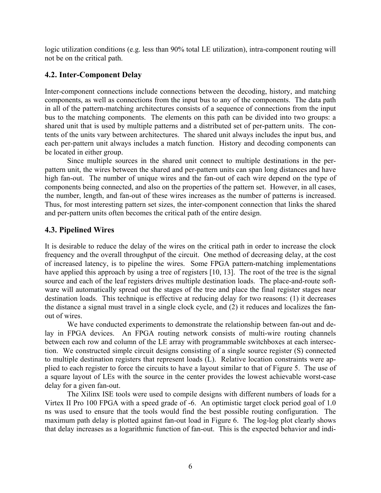logic utilization conditions (e.g. less than 90% total LE utilization), intra-component routing will not be on the critical path.

## **4.2. Inter-Component Delay**

Inter-component connections include connections between the decoding, history, and matching components, as well as connections from the input bus to any of the components. The data path in all of the pattern-matching architectures consists of a sequence of connections from the input bus to the matching components. The elements on this path can be divided into two groups: a shared unit that is used by multiple patterns and a distributed set of per-pattern units. The contents of the units vary between architectures. The shared unit always includes the input bus, and each per-pattern unit always includes a match function. History and decoding components can be located in either group.

Since multiple sources in the shared unit connect to multiple destinations in the perpattern unit, the wires between the shared and per-pattern units can span long distances and have high fan-out. The number of unique wires and the fan-out of each wire depend on the type of components being connected, and also on the properties of the pattern set. However, in all cases, the number, length, and fan-out of these wires increases as the number of patterns is increased. Thus, for most interesting pattern set sizes, the inter-component connection that links the shared and per-pattern units often becomes the critical path of the entire design.

## **4.3. Pipelined Wires**

It is desirable to reduce the delay of the wires on the critical path in order to increase the clock frequency and the overall throughput of the circuit. One method of decreasing delay, at the cost of increased latency, is to pipeline the wires. Some FPGA pattern-matching implementations have applied this approach by using a tree of registers [10, 13]. The root of the tree is the signal source and each of the leaf registers drives multiple destination loads. The place-and-route software will automatically spread out the stages of the tree and place the final register stages near destination loads. This technique is effective at reducing delay for two reasons: (1) it decreases the distance a signal must travel in a single clock cycle, and (2) it reduces and localizes the fanout of wires.

We have conducted experiments to demonstrate the relationship between fan-out and delay in FPGA devices. An FPGA routing network consists of multi-wire routing channels between each row and column of the LE array with programmable switchboxes at each intersection. We constructed simple circuit designs consisting of a single source register (S) connected to multiple destination registers that represent loads (L). Relative location constraints were applied to each register to force the circuits to have a layout similar to that of [Figure 5.](#page-6-0) The use of a square layout of LEs with the source in the center provides the lowest achievable worst-case delay for a given fan-out.

The Xilinx ISE tools were used to compile designs with different numbers of loads for a Virtex II Pro 100 FPGA with a speed grade of -6. An optimistic target clock period goal of 1.0 ns was used to ensure that the tools would find the best possible routing configuration. The maximum path delay is plotted against fan-out load in [Figure 6.](#page-6-1) The log-log plot clearly shows that delay increases as a logarithmic function of fan-out. This is the expected behavior and indi-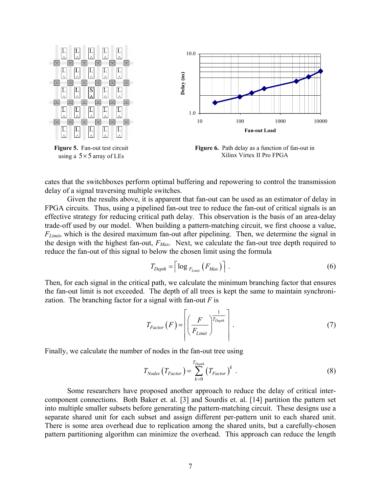

<span id="page-6-0"></span>cates that the switchboxes perform optimal buffering and repowering to control the transmission delay of a signal traversing multiple switches.

Given the results above, it is apparent that fan-out can be used as an estimator of delay in FPGA circuits. Thus, using a pipelined fan-out tree to reduce the fan-out of critical signals is an effective strategy for reducing critical path delay. This observation is the basis of an area-delay trade-off used by our model. When building a pattern-matching circuit, we first choose a value, *F<sub>Limit*</sub>, which is the desired maximum fan-out after pipelining. Then, we determine the signal in the design with the highest fan-out,  $F_{Max}$ . Next, we calculate the fan-out tree depth required to reduce the fan-out of this signal to below the chosen limit using the formula

<span id="page-6-1"></span>
$$
T_{Depth} = \left\lceil \log_{F_{Limit}} \left( F_{Max} \right) \right\rceil . \tag{6}
$$

Then, for each signal in the critical path, we calculate the minimum branching factor that ensures the fan-out limit is not exceeded. The depth of all trees is kept the same to maintain synchronization. The branching factor for a signal with fan-out *F* is

$$
T_{Factor}\left(F\right) = \left[\left(\frac{F}{F_{Limit}}\right)^{\frac{1}{T_{Depth}}}\right].\tag{7}
$$

Finally, we calculate the number of nodes in the fan-out tree using

$$
T_{Nodes} (T_{Factor}) = \sum_{k=0}^{T_{Depth}} (T_{Factor})^k
$$
 (8)

Some researchers have proposed another approach to reduce the delay of critical intercomponent connections. Both Baker et. al. [3] and Sourdis et. al. [14] partition the pattern set into multiple smaller subsets before generating the pattern-matching circuit. These designs use a separate shared unit for each subset and assign different per-pattern unit to each shared unit. There is some area overhead due to replication among the shared units, but a carefully-chosen pattern partitioning algorithm can minimize the overhead. This approach can reduce the length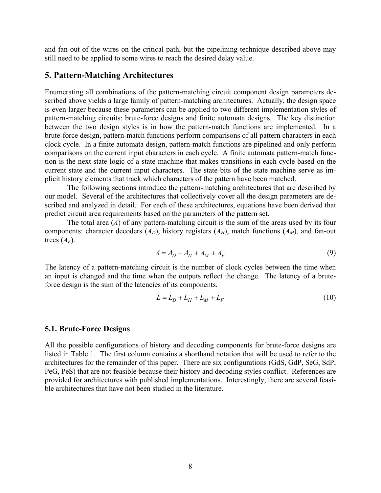and fan-out of the wires on the critical path, but the pipelining technique described above may still need to be applied to some wires to reach the desired delay value.

### **5. Pattern-Matching Architectures**

Enumerating all combinations of the pattern-matching circuit component design parameters described above yields a large family of pattern-matching architectures. Actually, the design space is even larger because these parameters can be applied to two different implementation styles of pattern-matching circuits: brute-force designs and finite automata designs. The key distinction between the two design styles is in how the pattern-match functions are implemented. In a brute-force design, pattern-match functions perform comparisons of all pattern characters in each clock cycle. In a finite automata design, pattern-match functions are pipelined and only perform comparisons on the current input characters in each cycle. A finite automata pattern-match function is the next-state logic of a state machine that makes transitions in each cycle based on the current state and the current input characters. The state bits of the state machine serve as implicit history elements that track which characters of the pattern have been matched.

The following sections introduce the pattern-matching architectures that are described by our model. Several of the architectures that collectively cover all the design parameters are described and analyzed in detail. For each of these architectures, equations have been derived that predict circuit area requirements based on the parameters of the pattern set.

The total area (*A*) of any pattern-matching circuit is the sum of the areas used by its four components: character decoders  $(A_D)$ , history registers  $(A_H)$ , match functions  $(A_M)$ , and fan-out trees  $(A_F)$ .

$$
A = A_D + A_H + A_M + A_F \tag{9}
$$

The latency of a pattern-matching circuit is the number of clock cycles between the time when an input is changed and the time when the outputs reflect the change. The latency of a bruteforce design is the sum of the latencies of its components.

$$
L = L_D + L_H + L_W + L_F \tag{10}
$$

### **5.1. Brute-Force Designs**

All the possible configurations of history and decoding components for brute-force designs are listed in [Table 1.](#page-8-0) The first column contains a shorthand notation that will be used to refer to the architectures for the remainder of this paper. There are six configurations (GdS, GdP, SeG, SdP, PeG, PeS) that are not feasible because their history and decoding styles conflict. References are provided for architectures with published implementations. Interestingly, there are several feasible architectures that have not been studied in the literature.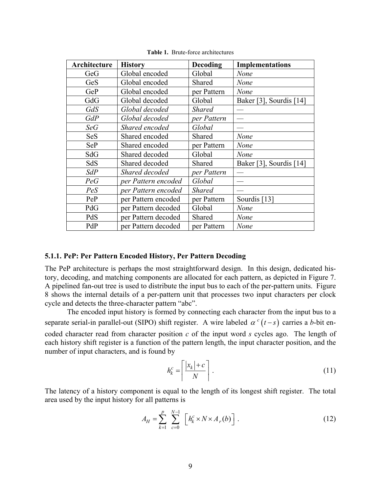| Architecture | <b>History</b>      | Decoding      | <b>Implementations</b>  |
|--------------|---------------------|---------------|-------------------------|
| GeG          | Global encoded      | Global        | <b>None</b>             |
| GeS          | Global encoded      | Shared        | None                    |
| GeP          | Global encoded      | per Pattern   | None                    |
| GdG          | Global decoded      | Global        | Baker [3], Sourdis [14] |
| GdS          | Global decoded      | <b>Shared</b> |                         |
| GdP          | Global decoded      | per Pattern   |                         |
| SeG          | Shared encoded      | Global        |                         |
| <b>SeS</b>   | Shared encoded      | Shared        | <b>None</b>             |
| <b>SeP</b>   | Shared encoded      | per Pattern   | <b>None</b>             |
| SdG          | Shared decoded      | Global        | <b>None</b>             |
| SdS          | Shared decoded      | Shared        | Baker [3], Sourdis [14] |
| SdP          | Shared decoded      | per Pattern   |                         |
| PeG          | per Pattern encoded | Global        |                         |
| PeS          | per Pattern encoded | <b>Shared</b> |                         |
| PeP          | per Pattern encoded | per Pattern   | Sourdis $[13]$          |
| PdG          | per Pattern decoded | Global        | None                    |
| PdS          | per Pattern decoded | Shared        | <b>None</b>             |
| PdP          | per Pattern decoded | per Pattern   | None                    |

<span id="page-8-0"></span>**Table 1.** Brute-force architectures

#### **5.1.1. PeP: Per Pattern Encoded History, Per Pattern Decoding**

The PeP architecture is perhaps the most straightforward design. In this design, dedicated history, decoding, and matching components are allocated for each pattern, as depicted in [Figure 7.](#page-9-0) A pipelined fan-out tree is used to distribute the input bus to each of the per-pattern units. [Figure](#page-9-1)  [8](#page-9-1) shows the internal details of a per-pattern unit that processes two input characters per clock cycle and detects the three-character pattern "abc".

The encoded input history is formed by connecting each character from the input bus to a separate serial-in parallel-out (SIPO) shift register. A wire labeled  $\alpha^{c}$  ( $t - s$ ) carries a *b*-bit encoded character read from character position *c* of the input word *s* cycles ago. The length of each history shift register is a function of the pattern length, the input character position, and the number of input characters, and is found by

$$
h_k^c = \left\lceil \frac{|x_k| + c}{N} \right\rceil. \tag{11}
$$

The latency of a history component is equal to the length of its longest shift register. The total area used by the input history for all patterns is

$$
A_H = \sum_{k=1}^{p} \sum_{c=0}^{N-1} \left[ h_k^c \times N \times A_r(b) \right].
$$
 (12)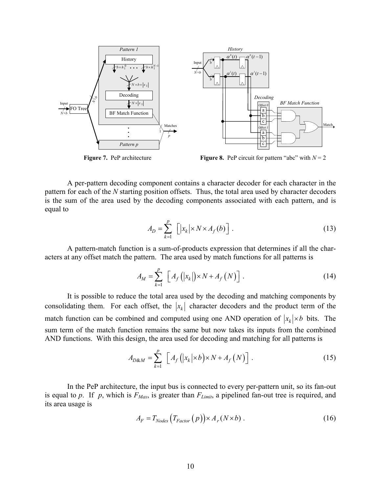

<span id="page-9-0"></span>**Figure 7.** PeP architecture **Figure 8.** PeP circuit for pattern "abc" with  $N = 2$ 

A per-pattern decoding component contains a character decoder for each character in the pattern for each of the *N* starting position offsets. Thus, the total area used by character decoders is the sum of the area used by the decoding components associated with each pattern, and is equal to

<span id="page-9-3"></span><span id="page-9-2"></span><span id="page-9-1"></span>
$$
A_D = \sum_{k=1}^p \left[ |x_k| \times N \times A_f(b) \right]. \tag{13}
$$

A pattern-match function is a sum-of-products expression that determines if all the characters at any offset match the pattern. The area used by match functions for all patterns is

$$
A_M = \sum_{k=1}^p \left[ A_f \left( |x_k| \right) \times N + A_f \left( N \right) \right]. \tag{14}
$$

It is possible to reduce the total area used by the decoding and matching components by consolidating them. For each offset, the  $|x_k|$  character decoders and the product term of the match function can be combined and computed using one AND operation of  $|x_k| \times b$  bits. The sum term of the match function remains the same but now takes its inputs from the combined AND functions. With this design, the area used for decoding and matching for all patterns is

<span id="page-9-4"></span>
$$
A_{D\&M} = \sum_{k=1}^{p} \left[ A_f \left( |x_k| \times b \right) \times N + A_f \left( N \right) \right]. \tag{15}
$$

In the PeP architecture, the input bus is connected to every per-pattern unit, so its fan-out is equal to *p*. If *p*, which is  $F_{Max}$ , is greater than  $F_{Limit}$ , a pipelined fan-out tree is required, and its area usage is

$$
A_F = T_{Nodes} \left( T_{Factor}(p) \right) \times A_r (N \times b) \tag{16}
$$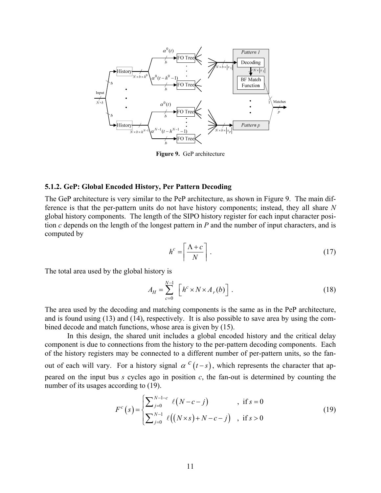

<span id="page-10-0"></span>**Figure 9.** GeP architecture

#### **5.1.2. GeP: Global Encoded History, Per Pattern Decoding**

The GeP architecture is very similar to the PeP architecture, as shown in [Figure 9.](#page-10-0) The main difference is that the per-pattern units do not have history components; instead, they all share *N* global history components. The length of the SIPO history register for each input character position *c* depends on the length of the longest pattern in *P* and the number of input characters, and is computed by

$$
h^c = \left\lceil \frac{\Lambda + c}{N} \right\rceil. \tag{17}
$$

The total area used by the global history is

<span id="page-10-1"></span>
$$
A_H = \sum_{c=0}^{N-1} \left[ h^c \times N \times A_r(b) \right].
$$
 (18)

The area used by the decoding and matching components is the same as in the PeP architecture, and is found using [\(13\)](#page-9-2) and [\(14\),](#page-9-3) respectively. It is also possible to save area by using the combined decode and match functions, whose area is given by [\(15\).](#page-9-4)

In this design, the shared unit includes a global encoded history and the critical delay component is due to connections from the history to the per-pattern decoding components. Each of the history registers may be connected to a different number of per-pattern units, so the fanout of each will vary. For a history signal  $\alpha^{c}$  ( $t - s$ ), which represents the character that appeared on the input bus  $s$  cycles ago in position  $c$ , the fan-out is determined by counting the number of its usages according to [\(19\).](#page-10-1)

$$
F^{c}(s) = \begin{cases} \sum_{j=0}^{N-1-c} \ell(N-c-j) & , \text{ if } s = 0\\ \sum_{j=0}^{N-1} \ell((N \times s) + N - c - j) & , \text{ if } s > 0 \end{cases}
$$
(19)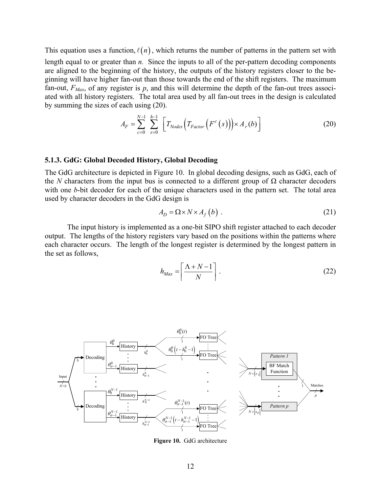This equation uses a function,  $\ell(n)$ , which returns the number of patterns in the pattern set with length equal to or greater than *n*. Since the inputs to all of the per-pattern decoding components are aligned to the beginning of the history, the outputs of the history registers closer to the beginning will have higher fan-out than those towards the end of the shift registers. The maximum fan-out,  $F_{\text{Max}}$ , of any register is  $p$ , and this will determine the depth of the fan-out trees associated with all history registers. The total area used by all fan-out trees in the design is calculated by summing the sizes of each using [\(20\).](#page-11-0)

$$
A_F = \sum_{c=0}^{N-1} \sum_{s=0}^{h-1} \left[ T_{Nodes} \left( T_{Factor} \left( F^c \left( s \right) \right) \right) \times A_r(b) \right] \tag{20}
$$

#### **5.1.3. GdG: Global Decoded History, Global Decoding**

The GdG architecture is depicted in [Figure 10.](#page-11-1) In global decoding designs, such as GdG, each of the *N* characters from the input bus is connected to a different group of  $\Omega$  character decoders with one *b*-bit decoder for each of the unique characters used in the pattern set. The total area used by character decoders in the GdG design is

<span id="page-11-0"></span>
$$
A_D = \Omega \times N \times A_f(b) \tag{21}
$$

The input history is implemented as a one-bit SIPO shift register attached to each decoder output. The lengths of the history registers vary based on the positions within the patterns where each character occurs. The length of the longest register is determined by the longest pattern in the set as follows,

$$
h_{Max} = \left\lceil \frac{\Lambda + N - 1}{N} \right\rceil. \tag{22}
$$



<span id="page-11-1"></span>**Figure 10.** GdG architecture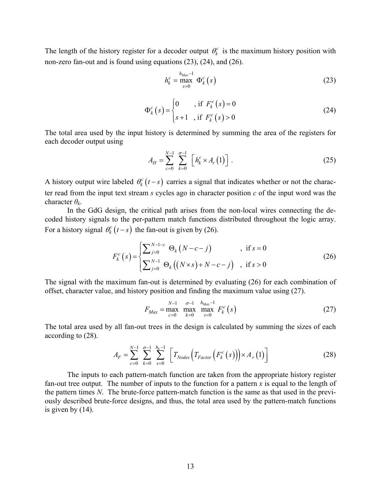The length of the history register for a decoder output  $\theta_k^c$  is the maximum history position with non-zero fan-out and is found using equations [\(23\),](#page-12-0) [\(24\),](#page-12-1) and [\(26\).](#page-12-2)

<span id="page-12-1"></span><span id="page-12-0"></span>
$$
h_k^c = \max_{s=0}^{h_{Max}-1} \Phi_k^c(s)
$$
 (23)

$$
\Phi_k^c(s) = \begin{cases} 0 & , \text{if } F_k^c(s) = 0\\ s+1 & , \text{if } F_k^c(s) > 0 \end{cases}
$$
\n(24)

The total area used by the input history is determined by summing the area of the registers for each decoder output using

$$
A_H = \sum_{c=0}^{N-1} \sum_{k=0}^{\sigma-1} \left[ h_k^c \times A_r(1) \right].
$$
 (25)

A history output wire labeled  $\theta_k^c(t-s)$  carries a signal that indicates whether or not the character read from the input text stream *s* cycles ago in character position *c* of the input word was the character *θk*.

In the GdG design, the critical path arises from the non-local wires connecting the decoded history signals to the per-pattern match functions distributed throughout the logic array. For a history signal  $\theta_k^c(t-s)$  the fan-out is given by [\(26\).](#page-12-2)

$$
F_k^c(s) = \begin{cases} \sum_{j=0}^{N-1-c} \Theta_k (N-c-j) & , \text{ if } s = 0\\ \sum_{j=0}^{N-1} \Theta_k ((N \times s) + N - c - j) & , \text{ if } s > 0 \end{cases}
$$
(26)

The signal with the maximum fan-out is determined by evaluating [\(26\)](#page-12-2) for each combination of offset, character value, and history position and finding the maximum value using [\(27\).](#page-12-3)

<span id="page-12-4"></span><span id="page-12-3"></span><span id="page-12-2"></span>
$$
F_{Max} = \max_{c=0}^{N-1} \max_{k=0}^{\sigma-1} \max_{s=0}^{h_{Max}-1} F_k^c(s)
$$
 (27)

The total area used by all fan-out trees in the design is calculated by summing the sizes of each according to [\(28\).](#page-12-4)

$$
A_F = \sum_{c=0}^{N-1} \sum_{k=0}^{\sigma-1} \sum_{s=0}^{h_k-1} \left[ T_{Nodes} \left( T_{Factor} \left( F_{k}^{c}(s) \right) \right) \times A_r(1) \right] \tag{28}
$$

The inputs to each pattern-match function are taken from the appropriate history register fan-out tree output. The number of inputs to the function for a pattern *x* is equal to the length of the pattern times *N*. The brute-force pattern-match function is the same as that used in the previously described brute-force designs, and thus, the total area used by the pattern-match functions is given by [\(14\).](#page-9-3)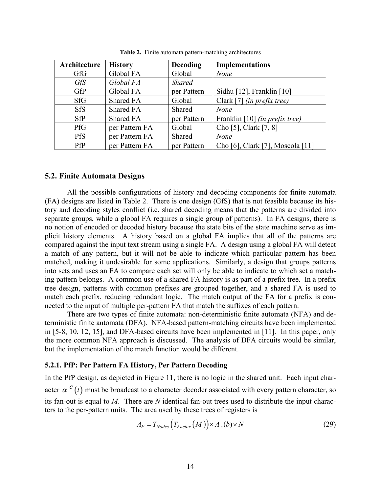| Architecture | <b>History</b> | <b>Decoding</b> | <b>Implementations</b>           |
|--------------|----------------|-----------------|----------------------------------|
| GfG          | Global FA      | Global          | None                             |
| GfS          | Global FA      | <b>Shared</b>   |                                  |
| GfP          | Global FA      | per Pattern     | Sidhu [12], Franklin [10]        |
| <b>SfG</b>   | Shared FA      | Global          | Clark [7] (in prefix tree)       |
| <b>SfS</b>   | Shared FA      | <b>Shared</b>   | None                             |
| SfP          | Shared FA      | per Pattern     | Franklin [10] (in prefix tree)   |
| <b>PfG</b>   | per Pattern FA | Global          | Cho [5], Clark [7, 8]            |
| <b>PfS</b>   | per Pattern FA | Shared          | <b>None</b>                      |
| PfP          | per Pattern FA | per Pattern     | Cho [6], Clark [7], Moscola [11] |

<span id="page-13-0"></span>**Table 2.** Finite automata pattern-matching architectures

#### **5.2. Finite Automata Designs**

All the possible configurations of history and decoding components for finite automata (FA) designs are listed in [Table 2.](#page-13-0) There is one design (GfS) that is not feasible because its history and decoding styles conflict (i.e. shared decoding means that the patterns are divided into separate groups, while a global FA requires a single group of patterns). In FA designs, there is no notion of encoded or decoded history because the state bits of the state machine serve as implicit history elements. A history based on a global FA implies that all of the patterns are compared against the input text stream using a single FA. A design using a global FA will detect a match of any pattern, but it will not be able to indicate which particular pattern has been matched, making it undesirable for some applications. Similarly, a design that groups patterns into sets and uses an FA to compare each set will only be able to indicate to which set a matching pattern belongs. A common use of a shared FA history is as part of a prefix tree. In a prefix tree design, patterns with common prefixes are grouped together, and a shared FA is used to match each prefix, reducing redundant logic. The match output of the FA for a prefix is connected to the input of multiple per-pattern FA that match the suffixes of each pattern.

There are two types of finite automata: non-deterministic finite automata (NFA) and deterministic finite automata (DFA). NFA-based pattern-matching circuits have been implemented in [5-8, 10, 12, 15], and DFA-based circuits have been implemented in [11]. In this paper, only the more common NFA approach is discussed. The analysis of DFA circuits would be similar, but the implementation of the match function would be different.

#### **5.2.1. PfP: Per Pattern FA History, Per Pattern Decoding**

In the PfP design, as depicted in [Figure 11,](#page-14-0) there is no logic in the shared unit. Each input character  $\alpha$ <sup>c</sup> (*t*) must be broadcast to a character decoder associated with every pattern character, so its fan-out is equal to *M*. There are *N* identical fan-out trees used to distribute the input characters to the per-pattern units. The area used by these trees of registers is

$$
A_F = T_{Nodes} \left( T_{Factor}(M) \right) \times A_r(b) \times N \tag{29}
$$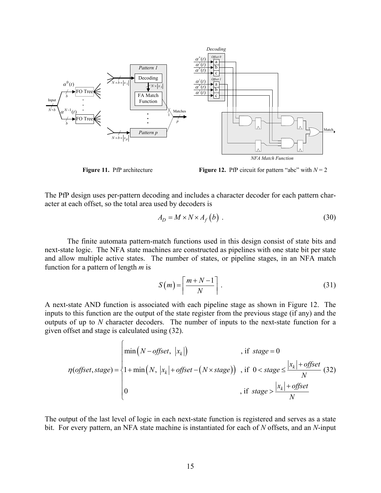

 $\epsilon$ 

<span id="page-14-0"></span>**Figure 11.** PfP architecture **Figure 12.** PfP circuit for pattern "abc" with  $N = 2$ 

The PfP design uses per-pattern decoding and includes a character decoder for each pattern character at each offset, so the total area used by decoders is

<span id="page-14-1"></span>
$$
A_D = M \times N \times A_f(b) \tag{30}
$$

The finite automata pattern-match functions used in this design consist of state bits and next-state logic. The NFA state machines are constructed as pipelines with one state bit per state and allow multiple active states. The number of states, or pipeline stages, in an NFA match function for a pattern of length *m* is

<span id="page-14-2"></span>
$$
S(m) = \left\lceil \frac{m + N - 1}{N} \right\rceil. \tag{31}
$$

A next-state AND function is associated with each pipeline stage as shown in [Figure 12.](#page-14-1) The inputs to this function are the output of the state register from the previous stage (if any) and the outputs of up to *N* character decoders. The number of inputs to the next-state function for a given offset and stage is calculated using [\(32\).](#page-14-2)

$$
\eta(\text{offset}, \text{stage}) = \n\begin{cases}\n\min\left(N - \text{offset}, \ |x_k|\right) & \text{, if } \text{stage} = 0 \\
1 + \min\left(N, \ |x_k| + \text{offset} - \left(N \times \text{stage}\right)\right) & \text{, if } 0 < \text{stage} \le \frac{|x_k| + \text{offset}}{N} \\
0 & \text{, if } \text{stage} > \frac{|x_k| + \text{offset}}{N}\n\end{cases}\n\tag{32}
$$

The output of the last level of logic in each next-state function is registered and serves as a state bit. For every pattern, an NFA state machine is instantiated for each of *N* offsets, and an *N*-input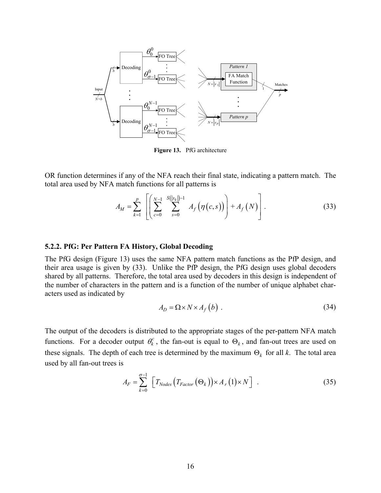

<span id="page-15-1"></span><span id="page-15-0"></span>**Figure 13.** PfG architecture

OR function determines if any of the NFA reach their final state, indicating a pattern match. The total area used by NFA match functions for all patterns is

$$
A_M = \sum_{k=1}^p \left[ \left( \sum_{c=0}^{N-1} \sum_{s=0}^{S(|x_k|)-1} A_f(\eta(c,s)) \right) + A_f(N) \right].
$$
 (33)

### **5.2.2. PfG: Per Pattern FA History, Global Decoding**

The PfG design [\(Figure 13\)](#page-15-0) uses the same NFA pattern match functions as the PfP design, and their area usage is given by [\(33\).](#page-15-1) Unlike the PfP design, the PfG design uses global decoders shared by all patterns. Therefore, the total area used by decoders in this design is independent of the number of characters in the pattern and is a function of the number of unique alphabet characters used as indicated by

$$
A_D = \Omega \times N \times A_f(b) \tag{34}
$$

The output of the decoders is distributed to the appropriate stages of the per-pattern NFA match functions. For a decoder output  $\theta_k^c$ , the fan-out is equal to  $\Theta_k$ , and fan-out trees are used on these signals. The depth of each tree is determined by the maximum  $\Theta_k$  for all *k*. The total area used by all fan-out trees is

$$
A_F = \sum_{k=0}^{\sigma-1} \left[ T_{Nodes} \left( T_{Factor} \left( \Theta_k \right) \right) \times A_r \left( 1 \right) \times N \right] \ . \tag{35}
$$